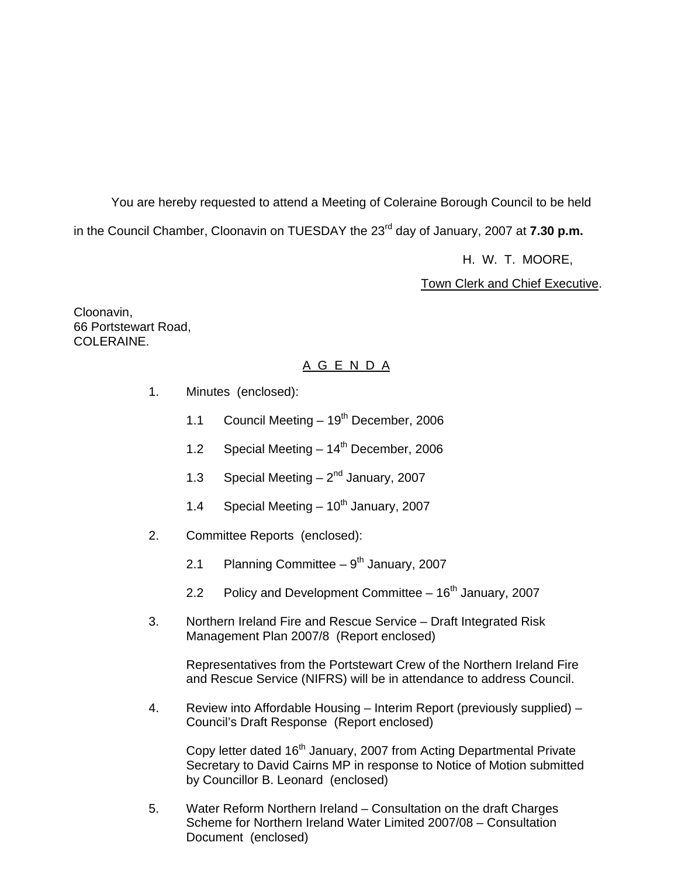You are hereby requested to attend a Meeting of Coleraine Borough Council to be held in the Council Chamber, Cloonavin on TUESDAY the 23<sup>rd</sup> day of January, 2007 at **7.30 p.m.** 

H. W. T. MOORE,

Town Clerk and Chief Executive.

Cloonavin, 66 Portstewart Road, COLERAINE.

### A G E N D A

- 1. Minutes (enclosed):
	- 1.1 Council Meeting  $-19^{th}$  December, 2006
	- 1.2 Special Meeting  $-14^{th}$  December, 2006
	- 1.3 Special Meeting  $-2^{nd}$  January, 2007
	- 1.4 Special Meeting  $-10^{th}$  January, 2007
- 2. Committee Reports (enclosed):
	- 2.1 Planning Committee  $9<sup>th</sup>$  January, 2007
	- 2.2 Policy and Development Committee  $-16<sup>th</sup>$  January, 2007
- 3. Northern Ireland Fire and Rescue Service Draft Integrated Risk Management Plan 2007/8 (Report enclosed)

 Representatives from the Portstewart Crew of the Northern Ireland Fire and Rescue Service (NIFRS) will be in attendance to address Council.

 4. Review into Affordable Housing – Interim Report (previously supplied) – Council's Draft Response (Report enclosed)

Copy letter dated 16<sup>th</sup> January, 2007 from Acting Departmental Private Secretary to David Cairns MP in response to Notice of Motion submitted by Councillor B. Leonard (enclosed)

 5. Water Reform Northern Ireland – Consultation on the draft Charges Scheme for Northern Ireland Water Limited 2007/08 – Consultation Document (enclosed)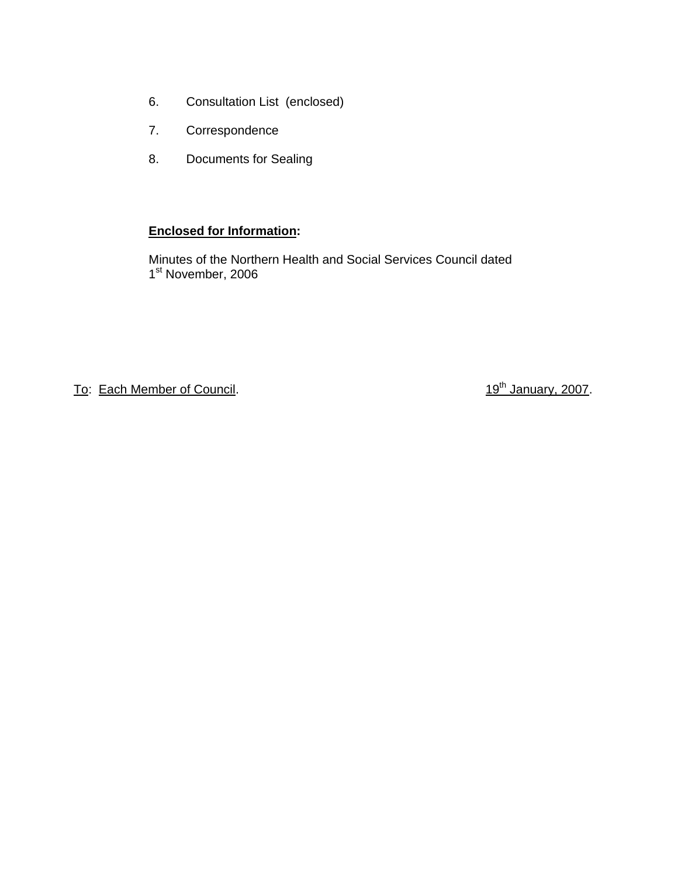- 6. Consultation List (enclosed)
- 7. Correspondence
- 8. Documents for Sealing

### **Enclosed for Information:**

Minutes of the Northern Health and Social Services Council dated 1<sup>st</sup> November, 2006

To: Each Member of Council. To: Each Member of Council.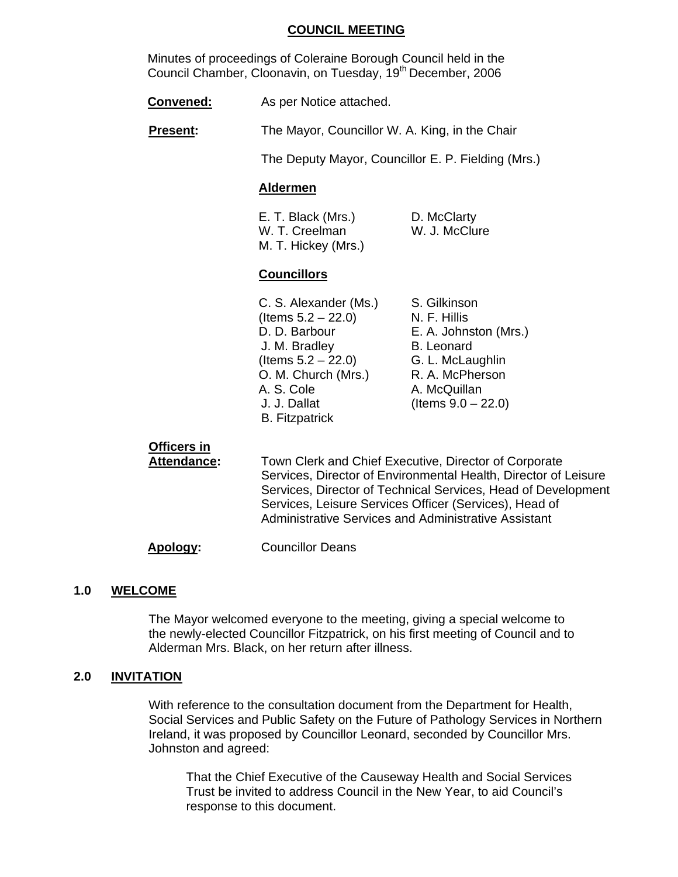#### **COUNCIL MEETING**

Minutes of proceedings of Coleraine Borough Council held in the Council Chamber, Cloonavin, on Tuesday, 19<sup>th</sup> December, 2006

**Convened:** As per Notice attached.

**Present:** The Mayor, Councillor W. A. King, in the Chair

The Deputy Mayor, Councillor E. P. Fielding (Mrs.)

#### **Aldermen**

E. T. Black (Mrs.) D. McClarty W. T. Creelman W. J. McClure M. T. Hickey (Mrs.)

#### **Councillors**

C. S. Alexander (Ms.) S. Gilkinson  $($  Items  $5.2 - 22.0)$  N. F. Hillis D. D. Barbour E. A. Johnston (Mrs.) J. M. Bradley B. Leonard  $($ ltems  $5.2 - 22.0)$  G. L. McLaughlin O. M. Church (Mrs.) R. A. McPherson A. S. Cole A. McQuillan J. J. Dallat (Items 9.0 – 22.0) B. Fitzpatrick

# **Officers in**

**Attendance:** Town Clerk and Chief Executive, Director of Corporate Services, Director of Environmental Health, Director of Leisure Services, Director of Technical Services, Head of Development Services, Leisure Services Officer (Services), Head of Administrative Services and Administrative Assistant

**Apology:** Councillor Deans

#### **1.0 WELCOME**

 The Mayor welcomed everyone to the meeting, giving a special welcome to the newly-elected Councillor Fitzpatrick, on his first meeting of Council and to Alderman Mrs. Black, on her return after illness.

#### **2.0 INVITATION**

 With reference to the consultation document from the Department for Health, Social Services and Public Safety on the Future of Pathology Services in Northern Ireland, it was proposed by Councillor Leonard, seconded by Councillor Mrs. Johnston and agreed:

 That the Chief Executive of the Causeway Health and Social Services Trust be invited to address Council in the New Year, to aid Council's response to this document.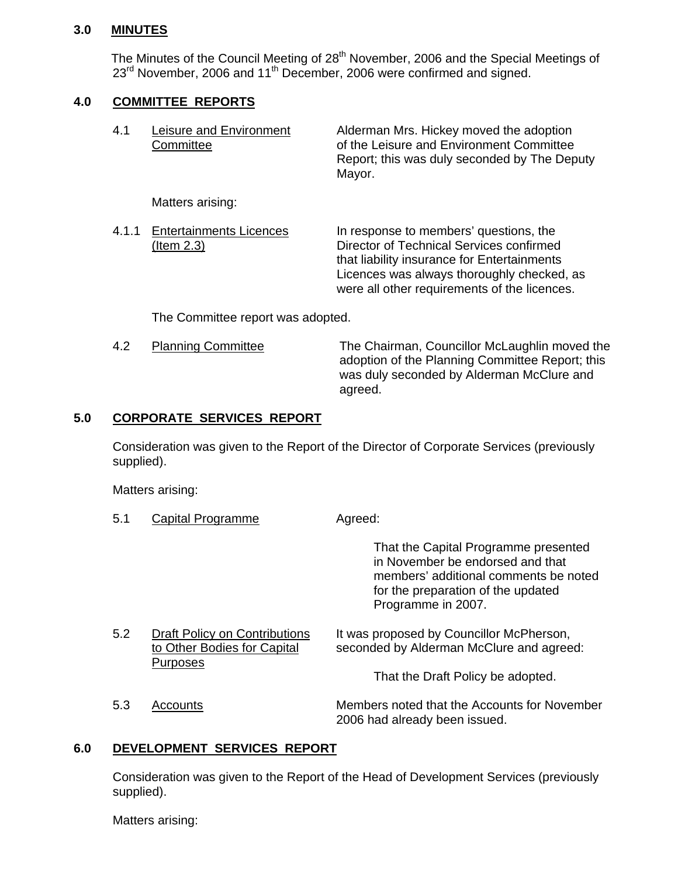#### **3.0 MINUTES**

The Minutes of the Council Meeting of 28<sup>th</sup> November, 2006 and the Special Meetings of  $23<sup>rd</sup>$  November, 2006 and 11<sup>th</sup> December, 2006 were confirmed and signed.

#### **4.0 COMMITTEE REPORTS**

| 4.1   | Leisure and Environment<br>Committee                | Alderman Mrs. Hickey moved the adoption<br>of the Leisure and Environment Committee<br>Report; this was duly seconded by The Deputy<br>Mayor.                                                                                   |
|-------|-----------------------------------------------------|---------------------------------------------------------------------------------------------------------------------------------------------------------------------------------------------------------------------------------|
|       | Matters arising:                                    |                                                                                                                                                                                                                                 |
| 4.1.1 | <b>Entertainments Licences</b><br><u>(Item 2.3)</u> | In response to members' questions, the<br>Director of Technical Services confirmed<br>that liability insurance for Entertainments<br>Licences was always thoroughly checked, as<br>were all other requirements of the licences. |

The Committee report was adopted.

5.1 Capital Programme Agreed:

4.2 Planning Committee The Chairman, Councillor McLaughlin moved the adoption of the Planning Committee Report; this was duly seconded by Alderman McClure and agreed.

#### **5.0 CORPORATE SERVICES REPORT**

 Consideration was given to the Report of the Director of Corporate Services (previously supplied).

Matters arising:

|     |                                                              | That the Capital Programme presented<br>in November be endorsed and that<br>members' additional comments be noted<br>for the preparation of the updated<br>Programme in 2007. |
|-----|--------------------------------------------------------------|-------------------------------------------------------------------------------------------------------------------------------------------------------------------------------|
| 5.2 | Draft Policy on Contributions<br>to Other Bodies for Capital | It was proposed by Councillor McPherson,<br>seconded by Alderman McClure and agreed:                                                                                          |
|     | <b>Purposes</b>                                              | That the Draft Policy be adopted.                                                                                                                                             |
| 5.3 | Accounts                                                     | Members noted that the Accounts for November<br>2006 had already been issued.                                                                                                 |

#### **6.0 DEVELOPMENT SERVICES REPORT**

 Consideration was given to the Report of the Head of Development Services (previously supplied).

Matters arising: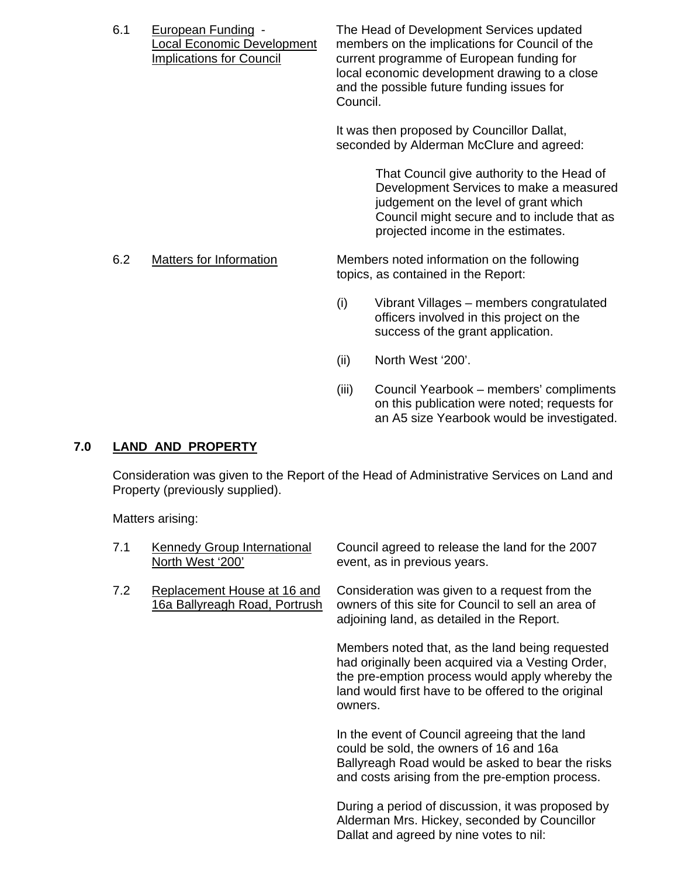| 6.1 | <b>European Funding -</b><br>ocal Economic Development<br><b>Implications for Council</b> | Council. | The Head of Development Services updated<br>members on the implications for Council of the<br>current programme of European funding for<br>local economic development drawing to a close<br>and the possible future funding issues for<br>It was then proposed by Councillor Dallat,<br>seconded by Alderman McClure and agreed: |
|-----|-------------------------------------------------------------------------------------------|----------|----------------------------------------------------------------------------------------------------------------------------------------------------------------------------------------------------------------------------------------------------------------------------------------------------------------------------------|
|     |                                                                                           |          | That Council give authority to the Head of<br>Development Services to make a measured<br>judgement on the level of grant which<br>Council might secure and to include that as<br>projected income in the estimates.                                                                                                              |
| 6.2 | Matters for Information                                                                   |          | Members noted information on the following<br>topics, as contained in the Report:                                                                                                                                                                                                                                                |
|     |                                                                                           | (i)      | Vibrant Villages – members congratulated<br>officers involved in this project on the<br>success of the grant application.                                                                                                                                                                                                        |
|     |                                                                                           | (ii)     | North West '200'.                                                                                                                                                                                                                                                                                                                |

(iii) Council Yearbook – members' compliments on this publication were noted; requests for an A5 size Yearbook would be investigated.

# **7.0 LAND AND PROPERTY**

Consideration was given to the Report of the Head of Administrative Services on Land and Property (previously supplied).

Matters arising:

| 7.1 | <b>Kennedy Group International</b><br>North West '200'       | Council agreed to release the land for the 2007<br>event, as in previous years.                                                                                                                                           |
|-----|--------------------------------------------------------------|---------------------------------------------------------------------------------------------------------------------------------------------------------------------------------------------------------------------------|
| 7.2 | Replacement House at 16 and<br>16a Ballyreagh Road, Portrush | Consideration was given to a request from the<br>owners of this site for Council to sell an area of<br>adjoining land, as detailed in the Report.                                                                         |
|     |                                                              | Members noted that, as the land being requested<br>had originally been acquired via a Vesting Order,<br>the pre-emption process would apply whereby the<br>land would first have to be offered to the original<br>owners. |
|     |                                                              | In the event of Council agreeing that the land<br>could be sold, the owners of 16 and 16a<br>Ballyreagh Road would be asked to bear the risks<br>and costs arising from the pre-emption process.                          |
|     |                                                              | During a period of discussion, it was proposed by<br>Alderman Mrs. Hickey, seconded by Councillor<br>Dallat and agreed by nine votes to nil:                                                                              |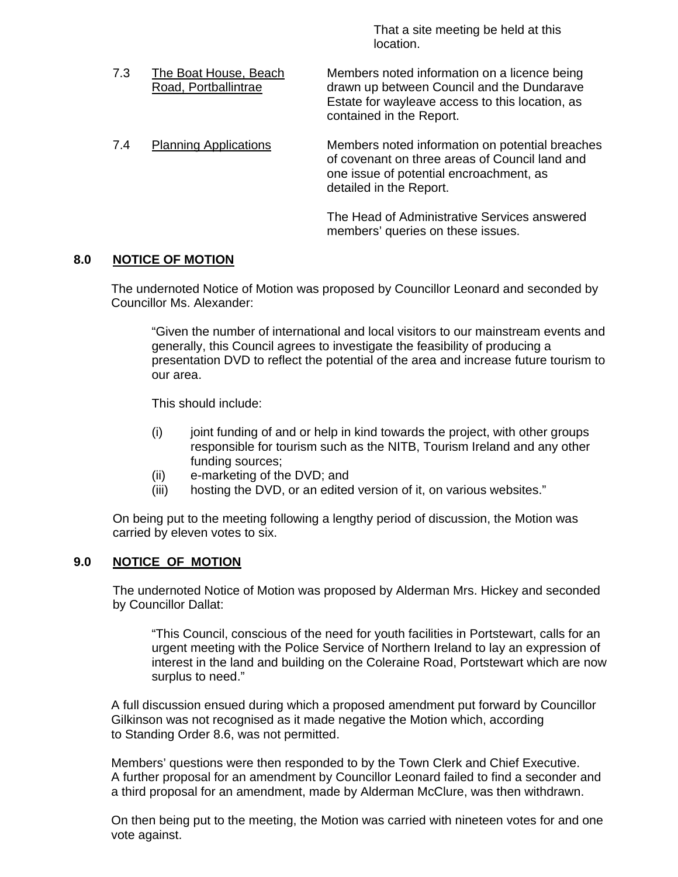That a site meeting be held at this location.

 7.3 The Boat House, Beach Members noted information on a licence being Road, Portballintrae drawn up between Council and the Dundarave Estate for wayleave access to this location, as contained in the Report. 7.4 Planning Applications Members noted information on potential breaches of covenant on three areas of Council land and one issue of potential encroachment, as detailed in the Report.

> The Head of Administrative Services answered members' queries on these issues.

### **8.0 NOTICE OF MOTION**

 The undernoted Notice of Motion was proposed by Councillor Leonard and seconded by Councillor Ms. Alexander:

"Given the number of international and local visitors to our mainstream events and generally, this Council agrees to investigate the feasibility of producing a presentation DVD to reflect the potential of the area and increase future tourism to our area.

This should include:

- $(i)$  joint funding of and or help in kind towards the project, with other groups responsible for tourism such as the NITB, Tourism Ireland and any other funding sources;
- (ii) e-marketing of the DVD; and
- (iii) hosting the DVD, or an edited version of it, on various websites."

On being put to the meeting following a lengthy period of discussion, the Motion was carried by eleven votes to six.

#### **9.0 NOTICE OF MOTION**

 The undernoted Notice of Motion was proposed by Alderman Mrs. Hickey and seconded by Councillor Dallat:

"This Council, conscious of the need for youth facilities in Portstewart, calls for an urgent meeting with the Police Service of Northern Ireland to lay an expression of interest in the land and building on the Coleraine Road, Portstewart which are now surplus to need."

 A full discussion ensued during which a proposed amendment put forward by Councillor Gilkinson was not recognised as it made negative the Motion which, according to Standing Order 8.6, was not permitted.

Members' questions were then responded to by the Town Clerk and Chief Executive. A further proposal for an amendment by Councillor Leonard failed to find a seconder and a third proposal for an amendment, made by Alderman McClure, was then withdrawn.

On then being put to the meeting, the Motion was carried with nineteen votes for and one vote against.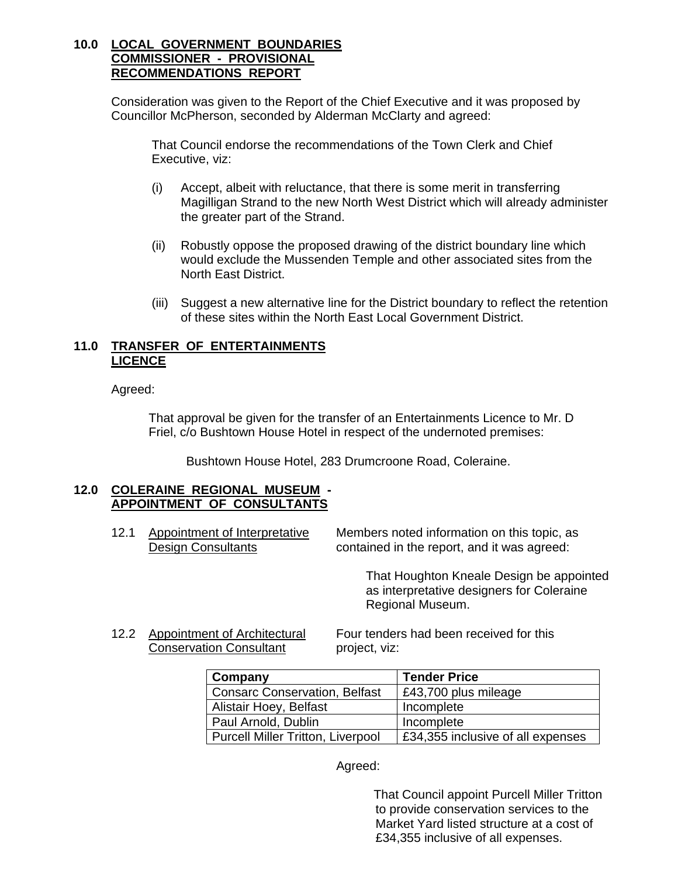#### **10.0 LOCAL GOVERNMENT BOUNDARIES COMMISSIONER - PROVISIONAL RECOMMENDATIONS REPORT**

Consideration was given to the Report of the Chief Executive and it was proposed by Councillor McPherson, seconded by Alderman McClarty and agreed:

That Council endorse the recommendations of the Town Clerk and Chief Executive, viz:

- (i) Accept, albeit with reluctance, that there is some merit in transferring Magilligan Strand to the new North West District which will already administer the greater part of the Strand.
- (ii) Robustly oppose the proposed drawing of the district boundary line which would exclude the Mussenden Temple and other associated sites from the North East District.
- (iii) Suggest a new alternative line for the District boundary to reflect the retention of these sites within the North East Local Government District.

#### **11.0 TRANSFER OF ENTERTAINMENTS LICENCE**

Agreed:

That approval be given for the transfer of an Entertainments Licence to Mr. D Friel, c/o Bushtown House Hotel in respect of the undernoted premises:

Bushtown House Hotel, 283 Drumcroone Road, Coleraine.

#### **12.0 COLERAINE REGIONAL MUSEUM - APPOINTMENT OF CONSULTANTS**

12.1 Appointment of Interpretative Members noted information on this topic, as Design Consultants **Design Consultants** contained in the report, and it was agreed:

> That Houghton Kneale Design be appointed as interpretative designers for Coleraine Regional Museum.

Conservation Consultant project, viz:

12.2 Appointment of Architectural Four tenders had been received for this

| Company                                  | <b>Tender Price</b>               |
|------------------------------------------|-----------------------------------|
| <b>Consarc Conservation, Belfast</b>     | £43,700 plus mileage              |
| Alistair Hoey, Belfast                   | Incomplete                        |
| Paul Arnold, Dublin                      | Incomplete                        |
| <b>Purcell Miller Tritton, Liverpool</b> | £34,355 inclusive of all expenses |

#### Agreed:

 That Council appoint Purcell Miller Tritton to provide conservation services to the Market Yard listed structure at a cost of £34,355 inclusive of all expenses.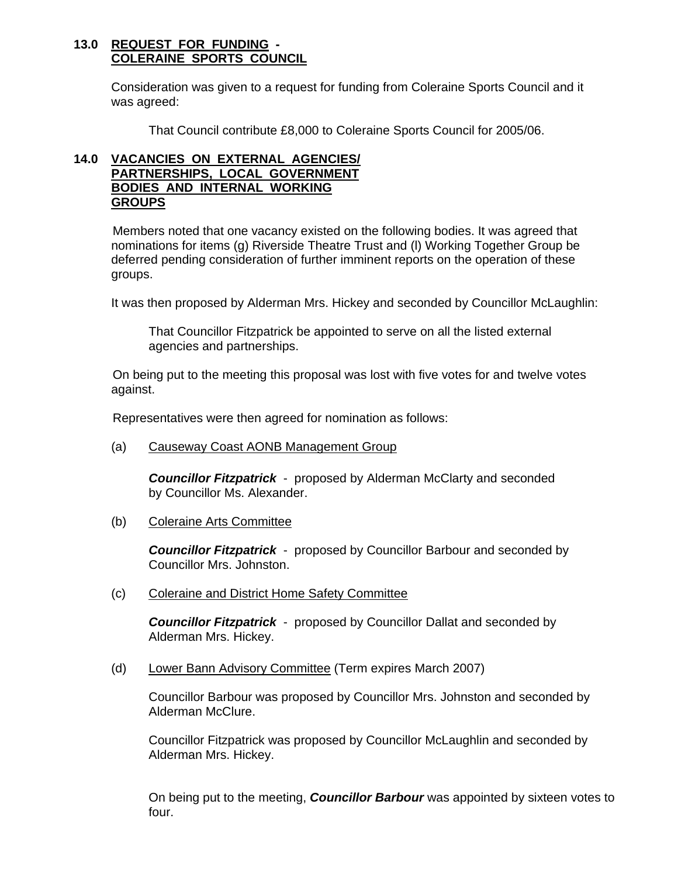#### **13.0 REQUEST FOR FUNDING - COLERAINE SPORTS COUNCIL**

 Consideration was given to a request for funding from Coleraine Sports Council and it was agreed:

That Council contribute £8,000 to Coleraine Sports Council for 2005/06.

#### **14.0 VACANCIES ON EXTERNAL AGENCIES/ PARTNERSHIPS, LOCAL GOVERNMENT BODIES AND INTERNAL WORKING GROUPS**

Members noted that one vacancy existed on the following bodies. It was agreed that nominations for items (g) Riverside Theatre Trust and (l) Working Together Group be deferred pending consideration of further imminent reports on the operation of these groups.

It was then proposed by Alderman Mrs. Hickey and seconded by Councillor McLaughlin:

That Councillor Fitzpatrick be appointed to serve on all the listed external agencies and partnerships.

On being put to the meeting this proposal was lost with five votes for and twelve votes against.

Representatives were then agreed for nomination as follows:

(a) Causeway Coast AONB Management Group

**Councillor Fitzpatrick** - proposed by Alderman McClarty and seconded by Councillor Ms. Alexander.

(b) Coleraine Arts Committee

*Councillor Fitzpatrick* - proposed by Councillor Barbour and seconded by Councillor Mrs. Johnston.

(c) Coleraine and District Home Safety Committee

*Councillor Fitzpatrick* - proposed by Councillor Dallat and seconded by Alderman Mrs. Hickey.

(d) Lower Bann Advisory Committee (Term expires March 2007)

Councillor Barbour was proposed by Councillor Mrs. Johnston and seconded by Alderman McClure.

Councillor Fitzpatrick was proposed by Councillor McLaughlin and seconded by Alderman Mrs. Hickey.

On being put to the meeting, *Councillor Barbour* was appointed by sixteen votes to four.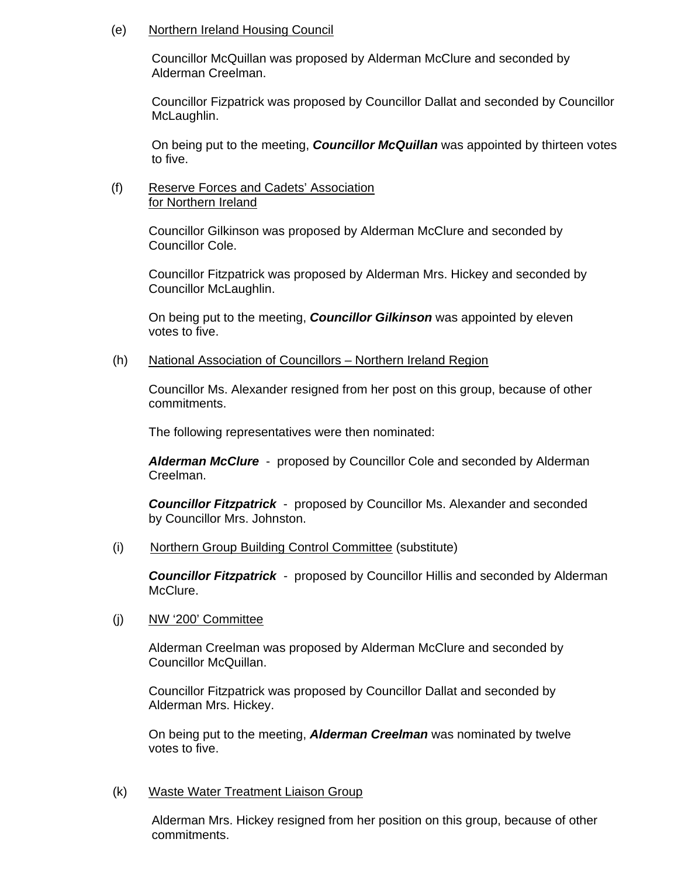#### (e) Northern Ireland Housing Council

Councillor McQuillan was proposed by Alderman McClure and seconded by Alderman Creelman.

Councillor Fizpatrick was proposed by Councillor Dallat and seconded by Councillor McLaughlin.

On being put to the meeting, *Councillor McQuillan* was appointed by thirteen votes to five.

#### (f) Reserve Forces and Cadets' Association for Northern Ireland

Councillor Gilkinson was proposed by Alderman McClure and seconded by Councillor Cole.

Councillor Fitzpatrick was proposed by Alderman Mrs. Hickey and seconded by Councillor McLaughlin.

On being put to the meeting, *Councillor Gilkinson* was appointed by eleven votes to five.

#### (h) National Association of Councillors – Northern Ireland Region

Councillor Ms. Alexander resigned from her post on this group, because of other commitments.

The following representatives were then nominated:

*Alderman McClure* - proposed by Councillor Cole and seconded by Alderman Creelman.

*Councillor Fitzpatrick* - proposed by Councillor Ms. Alexander and seconded by Councillor Mrs. Johnston.

(i) Northern Group Building Control Committee (substitute)

*Councillor Fitzpatrick -* proposed by Councillor Hillis and seconded by Alderman McClure.

(j) NW '200' Committee

 Alderman Creelman was proposed by Alderman McClure and seconded by Councillor McQuillan.

Councillor Fitzpatrick was proposed by Councillor Dallat and seconded by Alderman Mrs. Hickey.

On being put to the meeting, *Alderman Creelman* was nominated by twelve votes to five.

#### (k) Waste Water Treatment Liaison Group

Alderman Mrs. Hickey resigned from her position on this group, because of other commitments.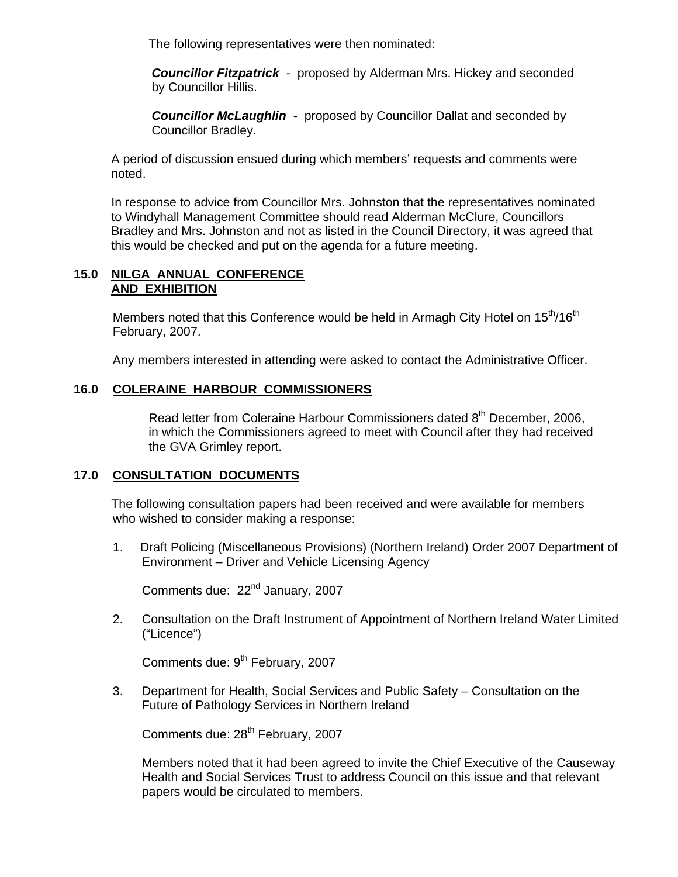The following representatives were then nominated:

*Councillor Fitzpatrick* - proposed by Alderman Mrs. Hickey and seconded by Councillor Hillis.

*Councillor McLaughlin* - proposed by Councillor Dallat and seconded by Councillor Bradley.

A period of discussion ensued during which members' requests and comments were noted.

In response to advice from Councillor Mrs. Johnston that the representatives nominated to Windyhall Management Committee should read Alderman McClure, Councillors Bradley and Mrs. Johnston and not as listed in the Council Directory, it was agreed that this would be checked and put on the agenda for a future meeting.

#### **15.0 NILGA ANNUAL CONFERENCE AND EXHIBITION**

Members noted that this Conference would be held in Armagh City Hotel on 15<sup>th</sup>/16<sup>th</sup> February, 2007.

Any members interested in attending were asked to contact the Administrative Officer.

### **16.0 COLERAINE HARBOUR COMMISSIONERS**

Read letter from Coleraine Harbour Commissioners dated 8<sup>th</sup> December, 2006. in which the Commissioners agreed to meet with Council after they had received the GVA Grimley report.

### **17.0 CONSULTATION DOCUMENTS**

The following consultation papers had been received and were available for members who wished to consider making a response:

1. Draft Policing (Miscellaneous Provisions) (Northern Ireland) Order 2007 Department of Environment – Driver and Vehicle Licensing Agency

Comments due: 22<sup>nd</sup> January, 2007

2. Consultation on the Draft Instrument of Appointment of Northern Ireland Water Limited ("Licence")

Comments due: 9<sup>th</sup> February, 2007

3. Department for Health, Social Services and Public Safety – Consultation on the Future of Pathology Services in Northern Ireland

Comments due: 28<sup>th</sup> February, 2007

 Members noted that it had been agreed to invite the Chief Executive of the Causeway Health and Social Services Trust to address Council on this issue and that relevant papers would be circulated to members.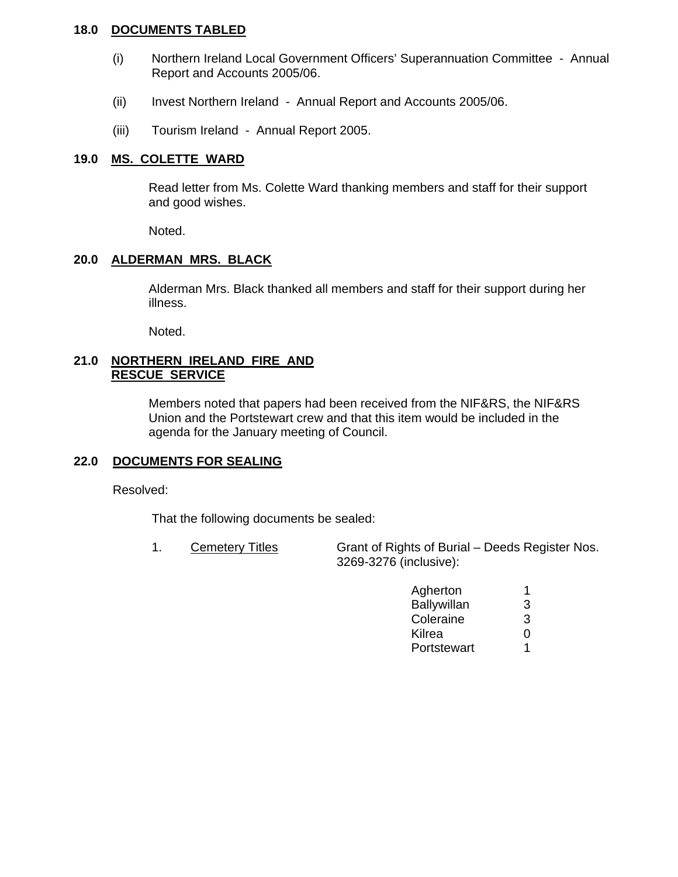#### **18.0 DOCUMENTS TABLED**

- (i) Northern Ireland Local Government Officers' Superannuation Committee Annual Report and Accounts 2005/06.
- (ii) Invest Northern Ireland Annual Report and Accounts 2005/06.
- (iii) Tourism Ireland Annual Report 2005.

#### **19.0 MS. COLETTE WARD**

 Read letter from Ms. Colette Ward thanking members and staff for their support and good wishes.

Noted.

#### **20.0 ALDERMAN MRS. BLACK**

 Alderman Mrs. Black thanked all members and staff for their support during her illness.

Noted.

#### **21.0 NORTHERN IRELAND FIRE AND RESCUE SERVICE**

 Members noted that papers had been received from the NIF&RS, the NIF&RS Union and the Portstewart crew and that this item would be included in the agenda for the January meeting of Council.

# **22.0 DOCUMENTS FOR SEALING**

Resolved:

That the following documents be sealed:

1. Cemetery Titles Grant of Rights of Burial – Deeds Register Nos. 3269-3276 (inclusive):

| Agherton    |   |
|-------------|---|
| Ballywillan | 3 |
| Coleraine   | 3 |
| Kilrea      |   |
| Portstewart |   |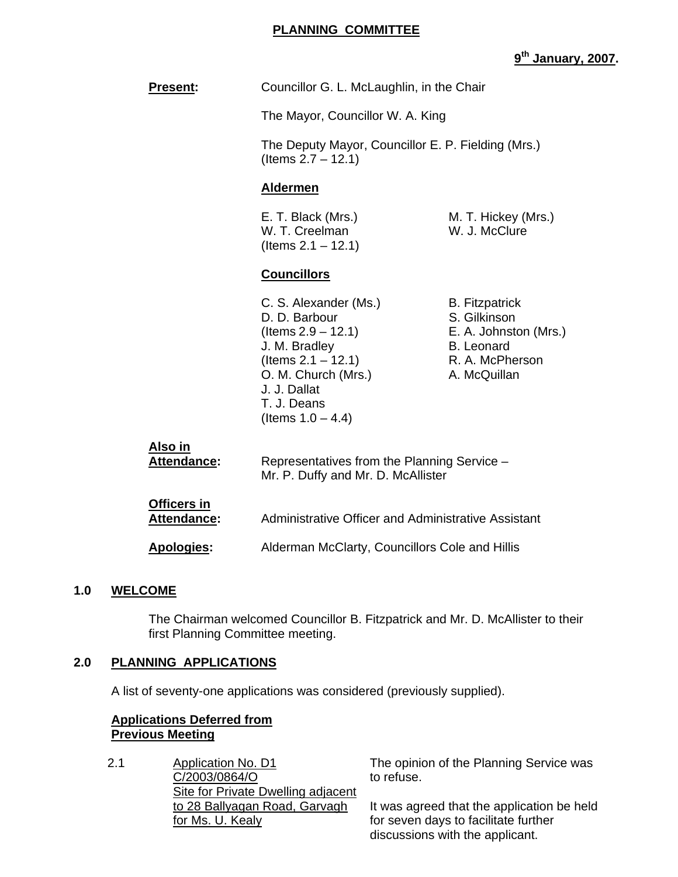#### **PLANNING COMMITTEE**

# **9th January, 2007.**

| <b>Present:</b>               | Councillor G. L. McLaughlin, in the Chair                                                                                                                                            |                                                                                                                        |
|-------------------------------|--------------------------------------------------------------------------------------------------------------------------------------------------------------------------------------|------------------------------------------------------------------------------------------------------------------------|
|                               | The Mayor, Councillor W. A. King                                                                                                                                                     |                                                                                                                        |
|                               | The Deputy Mayor, Councillor E. P. Fielding (Mrs.)<br>(Items $2.7 - 12.1$ )                                                                                                          |                                                                                                                        |
|                               | <b>Aldermen</b>                                                                                                                                                                      |                                                                                                                        |
|                               | E. T. Black (Mrs.)<br>W. T. Creelman<br>(Items $2.1 - 12.1$ )                                                                                                                        | M. T. Hickey (Mrs.)<br>W. J. McClure                                                                                   |
|                               | <b>Councillors</b>                                                                                                                                                                   |                                                                                                                        |
|                               | C. S. Alexander (Ms.)<br>D. D. Barbour<br>(ltems 2.9 – 12.1)<br>J. M. Bradley<br>(Items $2.1 - 12.1$ )<br>O. M. Church (Mrs.)<br>J. J. Dallat<br>T. J. Deans<br>(Items $1.0 - 4.4$ ) | <b>B.</b> Fitzpatrick<br>S. Gilkinson<br>E. A. Johnston (Mrs.)<br><b>B.</b> Leonard<br>R. A. McPherson<br>A. McQuillan |
| <u>Also in</u><br>Attendance: | Representatives from the Planning Service -<br>Mr. P. Duffy and Mr. D. McAllister                                                                                                    |                                                                                                                        |
| Officers in<br>Attendance:    | Administrative Officer and Administrative Assistant                                                                                                                                  |                                                                                                                        |
| <b>Apologies:</b>             | Alderman McClarty, Councillors Cole and Hillis                                                                                                                                       |                                                                                                                        |
|                               |                                                                                                                                                                                      |                                                                                                                        |

#### **1.0 WELCOME**

 The Chairman welcomed Councillor B. Fitzpatrick and Mr. D. McAllister to their first Planning Committee meeting.

#### **2.0 PLANNING APPLICATIONS**

A list of seventy-one applications was considered (previously supplied).

#### **Applications Deferred from Previous Meeting**

2.1 Application No. D1 C/2003/0864/O **Site for Private Dwelling adjacent** to 28 Ballyagan Road, Garvagh for Ms. U. Kealy

The opinion of the Planning Service was to refuse.

It was agreed that the application be held for seven days to facilitate further discussions with the applicant.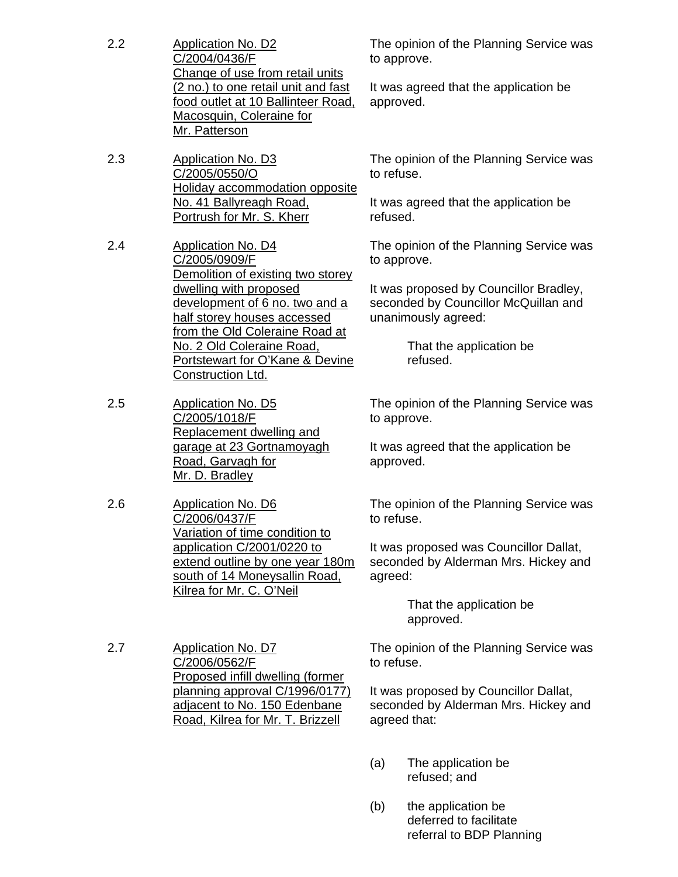| 2.2<br><b>Application No. D2</b><br>C/2004/0436/F<br>Change of use from retail units<br>(2 no.) to one retail unit and fast<br>food outlet at 10 Ballinteer Road,<br>Macosquin, Coleraine for<br>Mr. Patterson |                                                                                                                            | The opinion of the Planning Service was<br>to approve. |                                                                                                       |
|----------------------------------------------------------------------------------------------------------------------------------------------------------------------------------------------------------------|----------------------------------------------------------------------------------------------------------------------------|--------------------------------------------------------|-------------------------------------------------------------------------------------------------------|
|                                                                                                                                                                                                                | approved.                                                                                                                  | It was agreed that the application be                  |                                                                                                       |
| 2.3                                                                                                                                                                                                            | <b>Application No. D3</b><br>C/2005/0550/O<br>Holiday accommodation opposite                                               | to refuse.                                             | The opinion of the Planning Service was                                                               |
|                                                                                                                                                                                                                | No. 41 Ballyreagh Road,<br>Portrush for Mr. S. Kherr                                                                       | refused.                                               | It was agreed that the application be                                                                 |
| 2.4                                                                                                                                                                                                            | <b>Application No. D4</b><br>C/2005/0909/F<br>Demolition of existing two storey                                            | to approve.                                            | The opinion of the Planning Service was                                                               |
|                                                                                                                                                                                                                | dwelling with proposed<br>development of 6 no. two and a<br>half storey houses accessed                                    |                                                        | It was proposed by Councillor Bradley,<br>seconded by Councillor McQuillan and<br>unanimously agreed: |
| from the Old Coleraine Road at<br>No. 2 Old Coleraine Road,<br>Portstewart for O'Kane & Devine<br>Construction Ltd.                                                                                            |                                                                                                                            |                                                        | That the application be<br>refused.                                                                   |
| 2.5                                                                                                                                                                                                            | <b>Application No. D5</b><br>C/2005/1018/F                                                                                 | to approve.                                            | The opinion of the Planning Service was                                                               |
|                                                                                                                                                                                                                | Replacement dwelling and<br>garage at 23 Gortnamoyagh<br>Road, Garvagh for<br>Mr. D. Bradley                               | approved.                                              | It was agreed that the application be                                                                 |
| 2.6                                                                                                                                                                                                            | <b>Application No. D6</b><br>C/2006/0437/F<br>Variation of time condition to                                               | to refuse.                                             | The opinion of the Planning Service was                                                               |
|                                                                                                                                                                                                                | application C/2001/0220 to<br>extend outline by one year 180m<br>south of 14 Moneysallin Road.<br>Kilrea for Mr. C. O'Neil | agreed:                                                | It was proposed was Councillor Dallat,<br>seconded by Alderman Mrs. Hickey and                        |
|                                                                                                                                                                                                                |                                                                                                                            |                                                        | That the application be<br>approved.                                                                  |
| 2.7                                                                                                                                                                                                            | <b>Application No. D7</b><br>C/2006/0562/F<br>Proposed infill dwelling (former                                             | to refuse.                                             | The opinion of the Planning Service was                                                               |
|                                                                                                                                                                                                                | planning approval C/1996/0177)<br>adjacent to No. 150 Edenbane<br>Road, Kilrea for Mr. T. Brizzell                         | agreed that:                                           | It was proposed by Councillor Dallat,<br>seconded by Alderman Mrs. Hickey and                         |
|                                                                                                                                                                                                                |                                                                                                                            | (a)                                                    | The application be<br>refused; and                                                                    |

(b) the application be deferred to facilitate referral to BDP Planning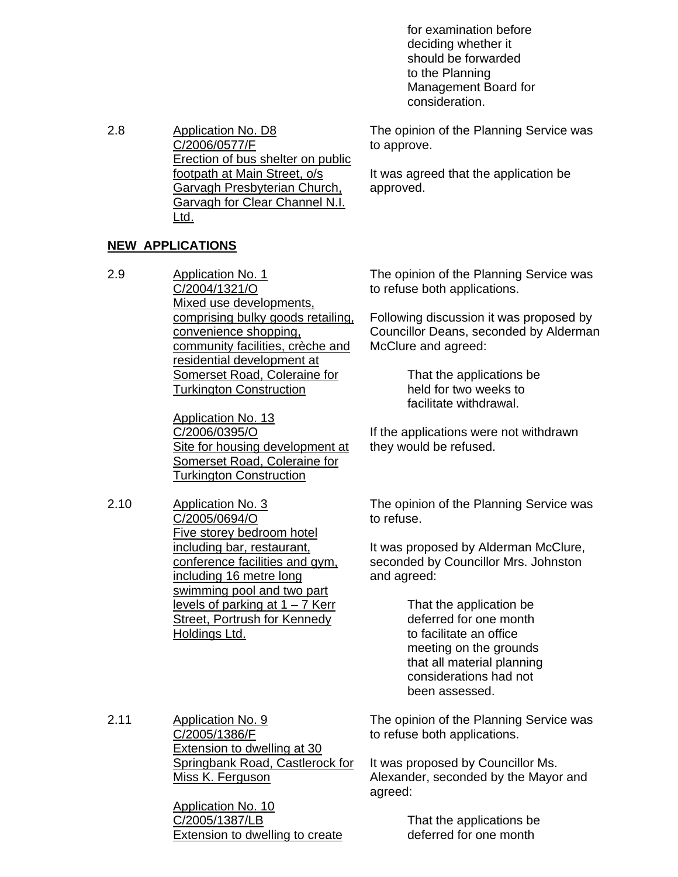for examination before deciding whether it should be forwarded to the Planning Management Board for consideration.

The opinion of the Planning Service was to approve.

It was agreed that the application be approved.

2.8 Application No. D8 C/2006/0577/F Erection of bus shelter on public footpath at Main Street, o/s Garvagh Presbyterian Church, Garvagh for Clear Channel N.I. Ltd.

### **NEW APPLICATIONS**

2.9 Application No. 1 C/2004/1321/O Mixed use developments, comprising bulky goods retailing, convenience shopping, community facilities, crèche and residential development at Somerset Road, Coleraine for Turkington Construction

> Application No. 13 C/2006/0395/O Site for housing development at Somerset Road, Coleraine for Turkington Construction

2.10 Application No. 3 C/2005/0694/O Five storey bedroom hotel including bar, restaurant, conference facilities and gym, including 16 metre long swimming pool and two part levels of parking at  $1 - 7$  Kerr Street, Portrush for Kennedy Holdings Ltd.

The opinion of the Planning Service was to refuse both applications.

Following discussion it was proposed by Councillor Deans, seconded by Alderman McClure and agreed:

> That the applications be held for two weeks to facilitate withdrawal.

If the applications were not withdrawn they would be refused.

The opinion of the Planning Service was to refuse.

It was proposed by Alderman McClure, seconded by Councillor Mrs. Johnston and agreed:

> That the application be deferred for one month to facilitate an office meeting on the grounds that all material planning considerations had not been assessed.

2.11 Application No. 9 C/2005/1386/F **Extension to dwelling at 30** Springbank Road, Castlerock for Miss K. Ferguson

The opinion of the Planning Service was to refuse both applications.

It was proposed by Councillor Ms. Alexander, seconded by the Mayor and agreed:

Application No. 10 C/2005/1387/LB Extension to dwelling to create

 That the applications be deferred for one month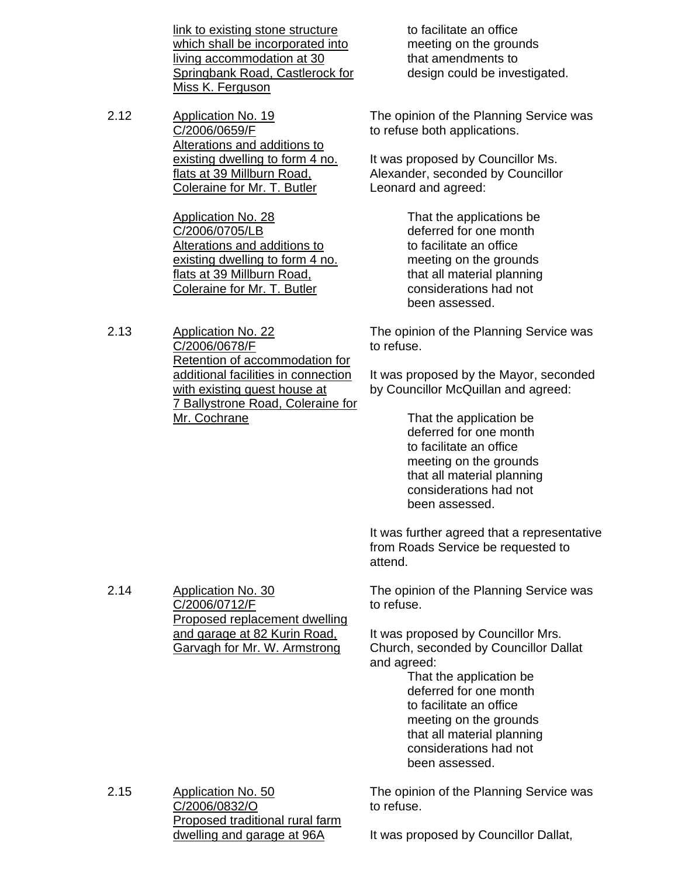link to existing stone structure which shall be incorporated into living accommodation at 30 Springbank Road, Castlerock for Miss K. Ferguson

2.12 Application No. 19 C/2006/0659/F Alterations and additions to existing dwelling to form 4 no. flats at 39 Millburn Road, Coleraine for Mr. T. Butler

> Application No. 28 C/2006/0705/LB Alterations and additions to existing dwelling to form 4 no. flats at 39 Millburn Road, Coleraine for Mr. T. Butler

2.13 Application No. 22 C/2006/0678/F Retention of accommodation for additional facilities in connection with existing guest house at 7 Ballystrone Road, Coleraine for Mr. Cochrane

 to facilitate an office meeting on the grounds that amendments to design could be investigated.

The opinion of the Planning Service was to refuse both applications.

It was proposed by Councillor Ms. Alexander, seconded by Councillor Leonard and agreed:

> That the applications be deferred for one month to facilitate an office meeting on the grounds that all material planning considerations had not been assessed.

The opinion of the Planning Service was to refuse.

It was proposed by the Mayor, seconded by Councillor McQuillan and agreed:

> That the application be deferred for one month to facilitate an office meeting on the grounds that all material planning considerations had not been assessed.

It was further agreed that a representative from Roads Service be requested to attend.

The opinion of the Planning Service was to refuse.

It was proposed by Councillor Mrs. Church, seconded by Councillor Dallat and agreed:

 That the application be deferred for one month to facilitate an office meeting on the grounds that all material planning considerations had not been assessed.

2.15 Application No. 50 C/2006/0832/O Proposed traditional rural farm dwelling and garage at 96A

2.14 Application No. 30

C/2006/0712/F

Proposed replacement dwelling and garage at 82 Kurin Road, Garvagh for Mr. W. Armstrong

> The opinion of the Planning Service was to refuse.

It was proposed by Councillor Dallat,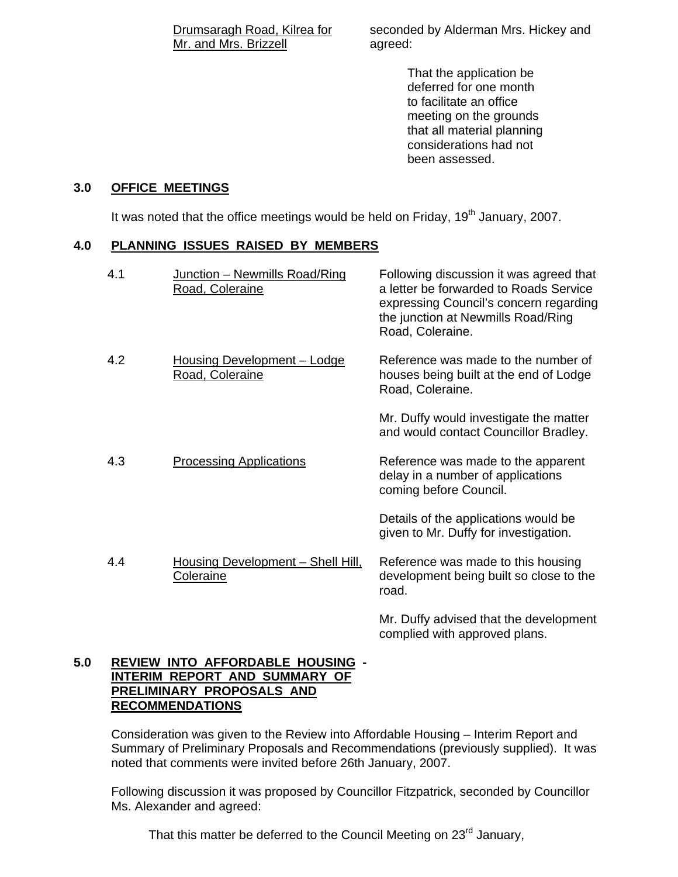Drumsaragh Road, Kilrea for Mr. and Mrs. Brizzell

seconded by Alderman Mrs. Hickey and agreed:

> That the application be deferred for one month to facilitate an office meeting on the grounds that all material planning considerations had not been assessed.

#### **3.0 OFFICE MEETINGS**

It was noted that the office meetings would be held on Friday,  $19<sup>th</sup>$  January, 2007.

#### **4.0 PLANNING ISSUES RAISED BY MEMBERS**

| 4.1 | Junction - Newmills Road/Ring<br>Road, Coleraine      | Following discussion it was agreed that<br>a letter be forwarded to Roads Service<br>expressing Council's concern regarding<br>the junction at Newmills Road/Ring<br>Road, Coleraine. |
|-----|-------------------------------------------------------|---------------------------------------------------------------------------------------------------------------------------------------------------------------------------------------|
| 4.2 | Housing Development - Lodge<br>Road, Coleraine        | Reference was made to the number of<br>houses being built at the end of Lodge<br>Road, Coleraine.                                                                                     |
|     |                                                       | Mr. Duffy would investigate the matter<br>and would contact Councillor Bradley.                                                                                                       |
| 4.3 | <b>Processing Applications</b>                        | Reference was made to the apparent<br>delay in a number of applications<br>coming before Council.                                                                                     |
|     |                                                       | Details of the applications would be<br>given to Mr. Duffy for investigation.                                                                                                         |
| 4.4 | Housing Development - Shell Hill,<br><b>Coleraine</b> | Reference was made to this housing<br>development being built so close to the<br>road.                                                                                                |

Mr. Duffy advised that the development complied with approved plans.

#### **5.0 REVIEW INTO AFFORDABLE HOUSING - INTERIM REPORT AND SUMMARY OF PRELIMINARY PROPOSALS AND RECOMMENDATIONS**

Consideration was given to the Review into Affordable Housing – Interim Report and Summary of Preliminary Proposals and Recommendations (previously supplied). It was noted that comments were invited before 26th January, 2007.

 Following discussion it was proposed by Councillor Fitzpatrick, seconded by Councillor Ms. Alexander and agreed:

That this matter be deferred to the Council Meeting on  $23^{\text{rd}}$  January,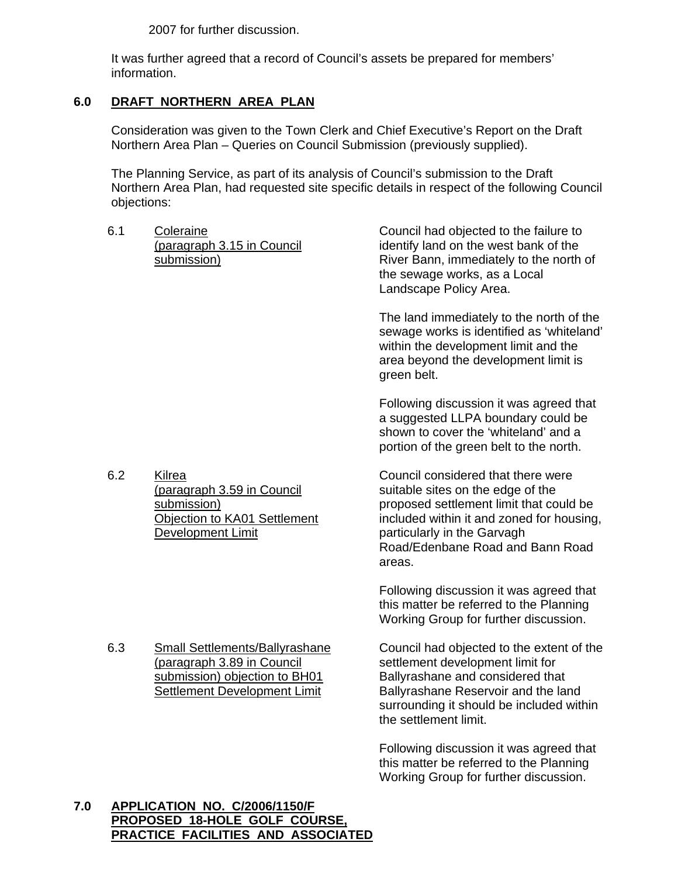2007 for further discussion.

 It was further agreed that a record of Council's assets be prepared for members' information.

# **6.0 DRAFT NORTHERN AREA PLAN**

 Consideration was given to the Town Clerk and Chief Executive's Report on the Draft Northern Area Plan – Queries on Council Submission (previously supplied).

 The Planning Service, as part of its analysis of Council's submission to the Draft Northern Area Plan, had requested site specific details in respect of the following Council objections:

6.1 Coleraine (paragraph 3.15 in Council submission)

Council had objected to the failure to identify land on the west bank of the River Bann, immediately to the north of the sewage works, as a Local Landscape Policy Area.

The land immediately to the north of the sewage works is identified as 'whiteland' within the development limit and the area beyond the development limit is green belt.

Following discussion it was agreed that a suggested LLPA boundary could be shown to cover the 'whiteland' and a portion of the green belt to the north.

6.2 Kilrea (paragraph 3.59 in Council submission) Objection to KA01 Settlement Development Limit

6.3 Small Settlements/Ballyrashane (paragraph 3.89 in Council submission) objection to BH01 Settlement Development Limit

Council considered that there were suitable sites on the edge of the proposed settlement limit that could be included within it and zoned for housing, particularly in the Garvagh Road/Edenbane Road and Bann Road areas.

Following discussion it was agreed that this matter be referred to the Planning Working Group for further discussion.

Council had objected to the extent of the settlement development limit for Ballyrashane and considered that Ballyrashane Reservoir and the land surrounding it should be included within the settlement limit.

Following discussion it was agreed that this matter be referred to the Planning Working Group for further discussion.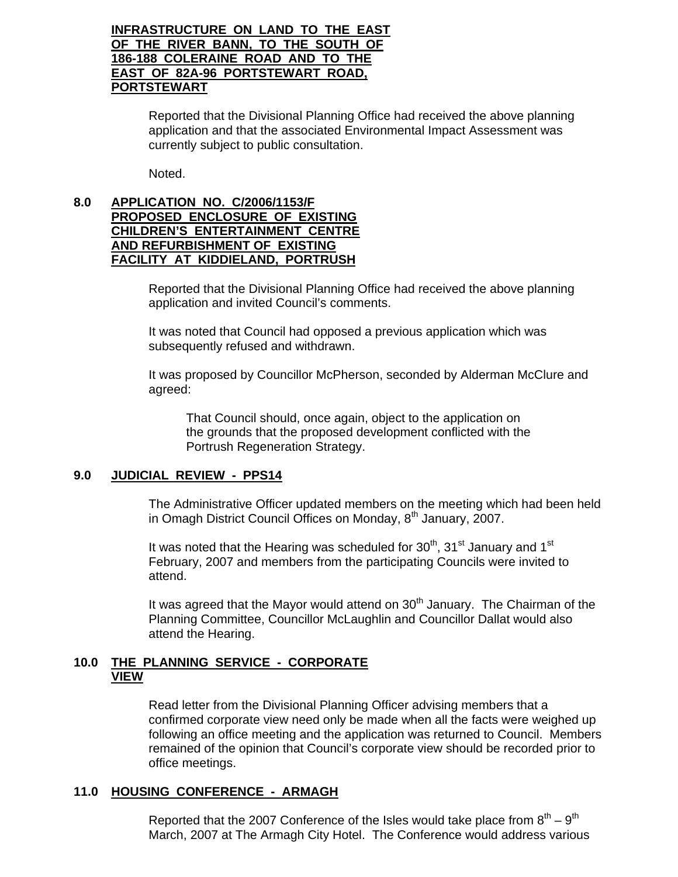#### **INFRASTRUCTURE ON LAND TO THE EAST OF THE RIVER BANN, TO THE SOUTH OF 186-188 COLERAINE ROAD AND TO THE EAST OF 82A-96 PORTSTEWART ROAD, PORTSTEWART**

 Reported that the Divisional Planning Office had received the above planning application and that the associated Environmental Impact Assessment was currently subject to public consultation.

Noted.

#### **8.0 APPLICATION NO. C/2006/1153/F PROPOSED ENCLOSURE OF EXISTING CHILDREN'S ENTERTAINMENT CENTRE AND REFURBISHMENT OF EXISTING FACILITY AT KIDDIELAND, PORTRUSH**

 Reported that the Divisional Planning Office had received the above planning application and invited Council's comments.

 It was noted that Council had opposed a previous application which was subsequently refused and withdrawn.

 It was proposed by Councillor McPherson, seconded by Alderman McClure and agreed:

 That Council should, once again, object to the application on the grounds that the proposed development conflicted with the Portrush Regeneration Strategy.

#### **9.0 JUDICIAL REVIEW - PPS14**

 The Administrative Officer updated members on the meeting which had been held in Omagh District Council Offices on Monday, 8<sup>th</sup> January, 2007.

It was noted that the Hearing was scheduled for  $30<sup>th</sup>$ ,  $31<sup>st</sup>$  January and 1<sup>st</sup> February, 2007 and members from the participating Councils were invited to attend.

It was agreed that the Mayor would attend on  $30<sup>th</sup>$  January. The Chairman of the Planning Committee, Councillor McLaughlin and Councillor Dallat would also attend the Hearing.

#### **10.0 THE PLANNING SERVICE - CORPORATE VIEW**

 Read letter from the Divisional Planning Officer advising members that a confirmed corporate view need only be made when all the facts were weighed up following an office meeting and the application was returned to Council. Members remained of the opinion that Council's corporate view should be recorded prior to office meetings.

#### **11.0 HOUSING CONFERENCE - ARMAGH**

Reported that the 2007 Conference of the Isles would take place from  $8<sup>th</sup> - 9<sup>th</sup>$ March, 2007 at The Armagh City Hotel. The Conference would address various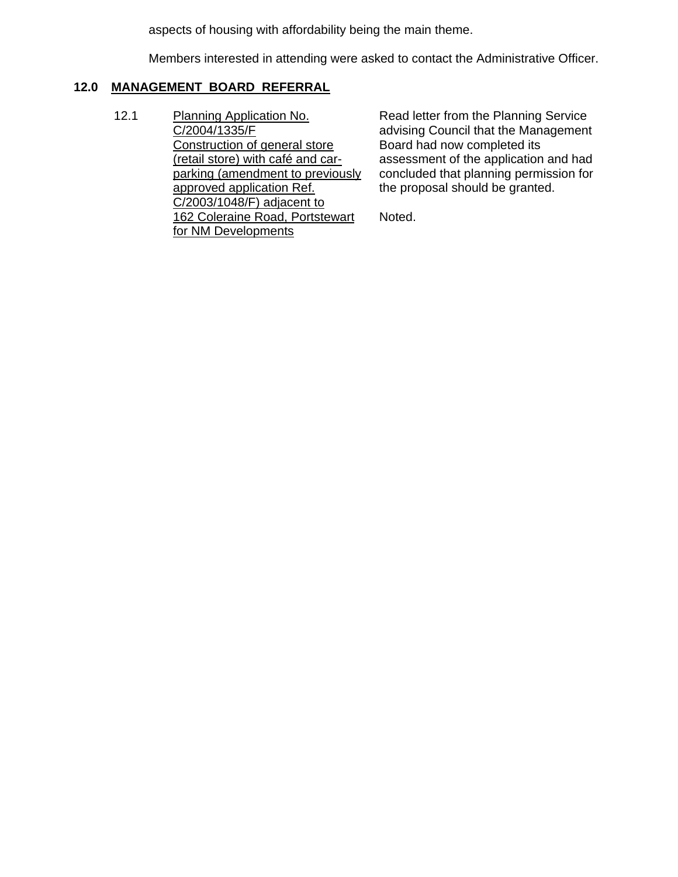aspects of housing with affordability being the main theme.

Members interested in attending were asked to contact the Administrative Officer.

### **12.0 MANAGEMENT BOARD REFERRAL**

12.1 Planning Application No. C/2004/1335/F Construction of general store (retail store) with café and carparking (amendment to previously approved application Ref. C/2003/1048/F) adjacent to 162 Coleraine Road, Portstewart for NM Developments

Read letter from the Planning Service advising Council that the Management Board had now completed its assessment of the application and had concluded that planning permission for the proposal should be granted.

Noted.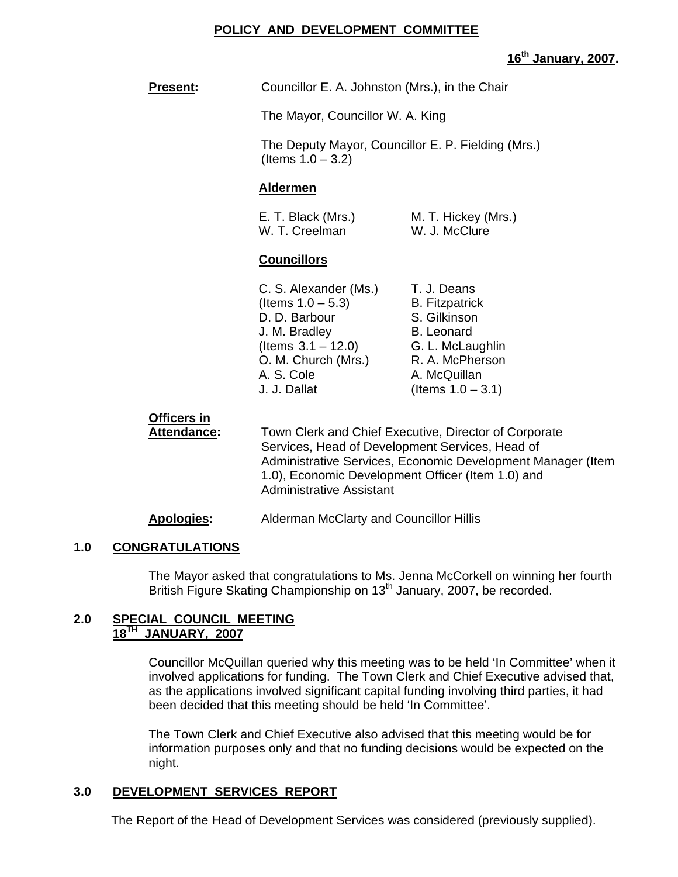#### **POLICY AND DEVELOPMENT COMMITTEE**

#### **16th January, 2007.**

**Present:** Councillor E. A. Johnston (Mrs.), in the Chair

The Mayor, Councillor W. A. King

 The Deputy Mayor, Councillor E. P. Fielding (Mrs.) (Items 1.0 – 3.2)

#### **Aldermen**

| E. T. Black (Mrs.) | M. T. Hickey (Mrs.) |
|--------------------|---------------------|
| W. T. Creelman     | W. J. McClure       |

#### **Councillors**

| C. S. Alexander (Ms.) | T. J. Deans           |
|-----------------------|-----------------------|
| (Items $1.0 - 5.3$ )  | <b>B.</b> Fitzpatrick |
| D. D. Barbour         | S. Gilkinson          |
| J. M. Bradley         | <b>B.</b> Leonard     |
| (Items $3.1 - 12.0$ ) | G. L. McLaughlin      |
| O. M. Church (Mrs.)   | R. A. McPherson       |
| A. S. Cole            | A. McQuillan          |
| J. J. Dallat          | (Items $1.0 - 3.1$ )  |
|                       |                       |

# **Officers in**

**Attendance:** Town Clerk and Chief Executive, Director of Corporate Services, Head of Development Services, Head of Administrative Services, Economic Development Manager (Item 1.0), Economic Development Officer (Item 1.0) and Administrative Assistant

#### **Apologies:** Alderman McClarty and Councillor Hillis

#### **1.0 CONGRATULATIONS**

The Mayor asked that congratulations to Ms. Jenna McCorkell on winning her fourth British Figure Skating Championship on 13<sup>th</sup> January, 2007, be recorded.

#### **2.0 SPECIAL COUNCIL MEETING 18TH JANUARY, 2007**

Councillor McQuillan queried why this meeting was to be held 'In Committee' when it involved applications for funding. The Town Clerk and Chief Executive advised that, as the applications involved significant capital funding involving third parties, it had been decided that this meeting should be held 'In Committee'.

The Town Clerk and Chief Executive also advised that this meeting would be for information purposes only and that no funding decisions would be expected on the night.

### **3.0 DEVELOPMENT SERVICES REPORT**

The Report of the Head of Development Services was considered (previously supplied).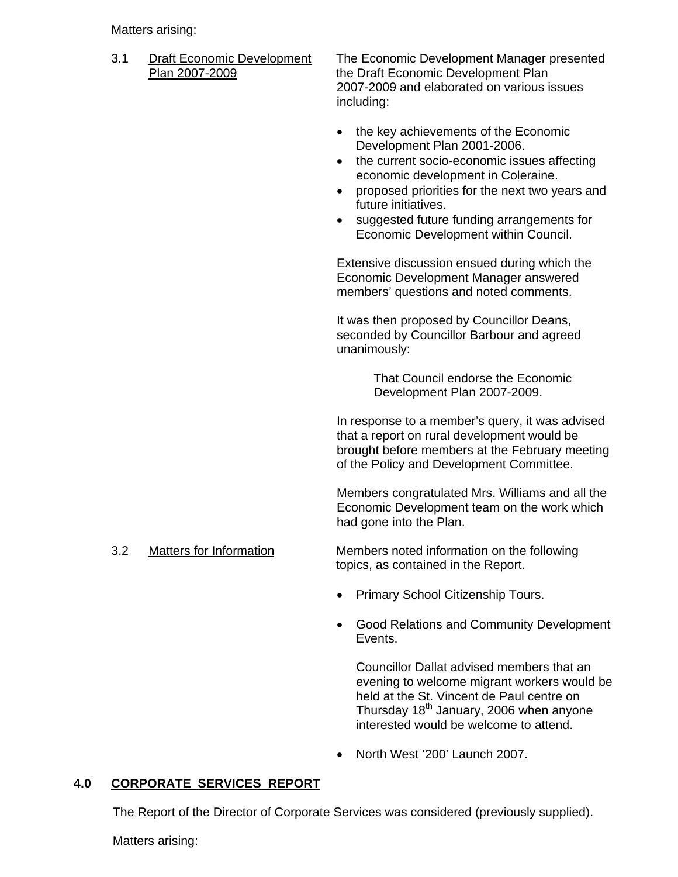Matters arising:

3.1 Draft Economic Development The Economic Development Manager presented Plan 2007-2009 the Draft Economic Development Plan 2007-2009 and elaborated on various issues including:

- the key achievements of the Economic Development Plan 2001-2006.
- the current socio-economic issues affecting economic development in Coleraine.
- proposed priorities for the next two years and future initiatives.
- suggested future funding arrangements for Economic Development within Council.

Extensive discussion ensued during which the Economic Development Manager answered members' questions and noted comments.

It was then proposed by Councillor Deans, seconded by Councillor Barbour and agreed unanimously:

> That Council endorse the Economic Development Plan 2007-2009.

In response to a member's query, it was advised that a report on rural development would be brought before members at the February meeting of the Policy and Development Committee.

Members congratulated Mrs. Williams and all the Economic Development team on the work which had gone into the Plan.

3.2 Matters for Information Members noted information on the following

topics, as contained in the Report.

- Primary School Citizenship Tours.
- Good Relations and Community Development Events.

Councillor Dallat advised members that an evening to welcome migrant workers would be held at the St. Vincent de Paul centre on Thursday 18<sup>th</sup> January, 2006 when anyone interested would be welcome to attend.

• North West '200' Launch 2007.

# **4.0 CORPORATE SERVICES REPORT**

The Report of the Director of Corporate Services was considered (previously supplied).

Matters arising: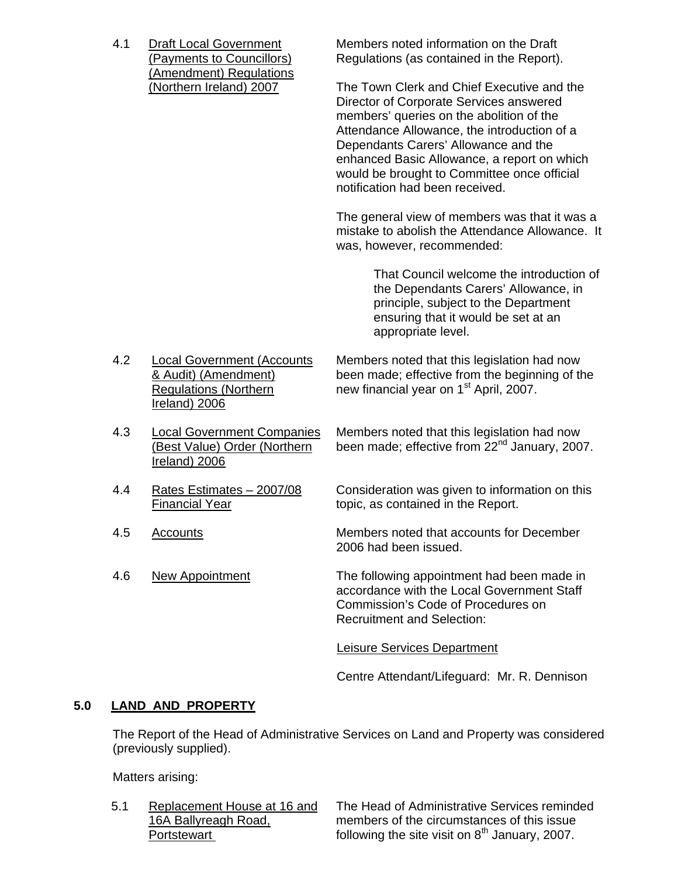(Amendment) Regulations

 4.1 Draft Local Government Members noted information on the Draft (Payments to Councillors) Regulations (as contained in the Report).

(Northern Ireland) 2007 The Town Clerk and Chief Executive and the Director of Corporate Services answered members' queries on the abolition of the Attendance Allowance, the introduction of a Dependants Carers' Allowance and the enhanced Basic Allowance, a report on which would be brought to Committee once official notification had been received.

> The general view of members was that it was a mistake to abolish the Attendance Allowance. It was, however, recommended:

> > That Council welcome the introduction of the Dependants Carers' Allowance, in principle, subject to the Department ensuring that it would be set at an appropriate level.

- 4.2 Local Government (Accounts Members noted that this legislation had now<br>
& Audit) (Amendment) been made; effective from the beginning of the been made; effective from the beginning of the Regulations (Northern new financial year on  $1<sup>st</sup>$  April, 2007. Ireland) 2006
- 4.3 Local Government Companies Members noted that this legislation had now (Best Value) Order (Northern been made; effective from  $22<sup>nd</sup>$  January, 2007. Ireland) 2006
- 
- 
- 

4.4 Rates Estimates – 2007/08 Consideration was given to information on this Financial Year topic, as contained in the Report.

4.5 Accounts Members noted that accounts for December 2006 had been issued.

4.6 New Appointment The following appointment had been made in accordance with the Local Government Staff Commission's Code of Procedures on Recruitment and Selection:

Leisure Services Department

Centre Attendant/Lifeguard: Mr. R. Dennison

### **5.0 LAND AND PROPERTY**

The Report of the Head of Administrative Services on Land and Property was considered (previously supplied).

Matters arising:

5.1 Replacement House at 16 and The Head of Administrative Services reminded 16A Ballyreagh Road, members of the circumstances of this issue Portstewart **Following the site visit on 8<sup>th</sup> January, 2007.**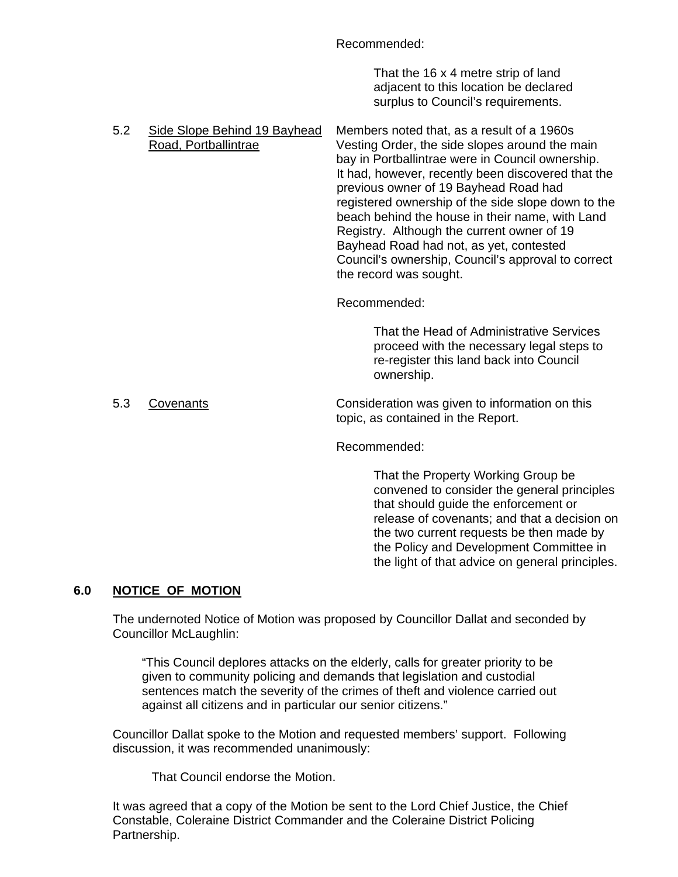Recommended:

 That the 16 x 4 metre strip of land adjacent to this location be declared surplus to Council's requirements.

5.2 Side Slope Behind 19 Bayhead Members noted that, as a result of a 1960s Road, Portballintrae Vesting Order, the side slopes around the main bay in Portballintrae were in Council ownership. It had, however, recently been discovered that the previous owner of 19 Bayhead Road had registered ownership of the side slope down to the beach behind the house in their name, with Land Registry. Although the current owner of 19 Bayhead Road had not, as yet, contested Council's ownership, Council's approval to correct the record was sought.

Recommended:

 That the Head of Administrative Services proceed with the necessary legal steps to re-register this land back into Council ownership.

5.3 Covenants Consideration was given to information on this topic, as contained in the Report.

Recommended:

 That the Property Working Group be convened to consider the general principles that should guide the enforcement or release of covenants; and that a decision on the two current requests be then made by the Policy and Development Committee in the light of that advice on general principles.

# **6.0 NOTICE OF MOTION**

 The undernoted Notice of Motion was proposed by Councillor Dallat and seconded by Councillor McLaughlin:

"This Council deplores attacks on the elderly, calls for greater priority to be given to community policing and demands that legislation and custodial sentences match the severity of the crimes of theft and violence carried out against all citizens and in particular our senior citizens."

 Councillor Dallat spoke to the Motion and requested members' support. Following discussion, it was recommended unanimously:

That Council endorse the Motion.

 It was agreed that a copy of the Motion be sent to the Lord Chief Justice, the Chief Constable, Coleraine District Commander and the Coleraine District Policing Partnership.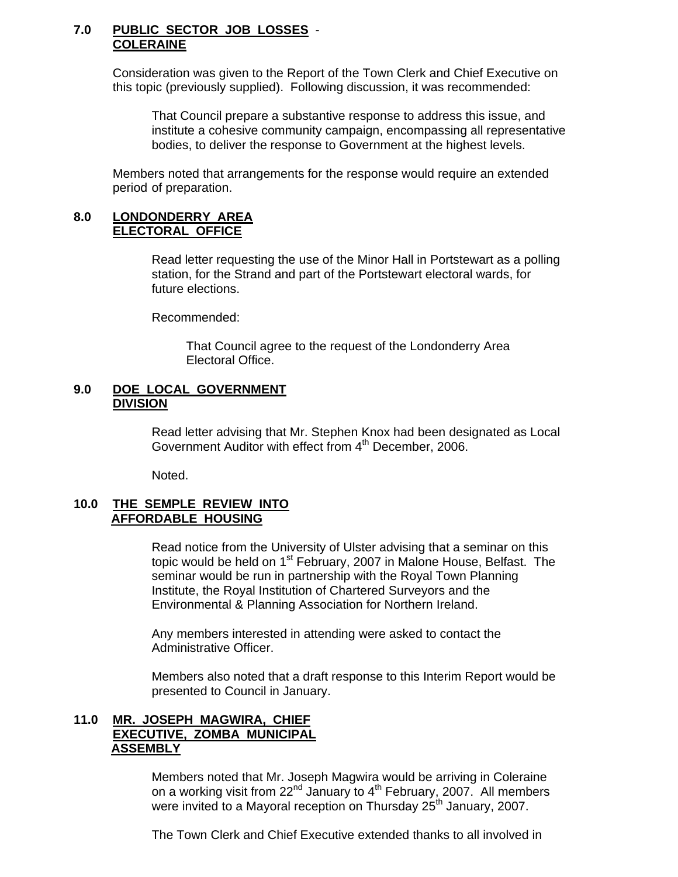#### **7.0 PUBLIC SECTOR JOB LOSSES** - **COLERAINE**

 Consideration was given to the Report of the Town Clerk and Chief Executive on this topic (previously supplied). Following discussion, it was recommended:

 That Council prepare a substantive response to address this issue, and institute a cohesive community campaign, encompassing all representative bodies, to deliver the response to Government at the highest levels.

 Members noted that arrangements for the response would require an extended period of preparation.

#### **8.0 LONDONDERRY AREA ELECTORAL OFFICE**

 Read letter requesting the use of the Minor Hall in Portstewart as a polling station, for the Strand and part of the Portstewart electoral wards, for future elections.

Recommended:

 That Council agree to the request of the Londonderry Area Electoral Office.

#### **9.0 DOE LOCAL GOVERNMENT DIVISION**

 Read letter advising that Mr. Stephen Knox had been designated as Local Government Auditor with effect from 4<sup>th</sup> December, 2006.

Noted.

#### **10.0 THE SEMPLE REVIEW INTO AFFORDABLE HOUSING**

 Read notice from the University of Ulster advising that a seminar on this topic would be held on 1<sup>st</sup> February, 2007 in Malone House, Belfast. The seminar would be run in partnership with the Royal Town Planning Institute, the Royal Institution of Chartered Surveyors and the Environmental & Planning Association for Northern Ireland.

 Any members interested in attending were asked to contact the Administrative Officer.

 Members also noted that a draft response to this Interim Report would be presented to Council in January.

#### **11.0 MR. JOSEPH MAGWIRA, CHIEF EXECUTIVE, ZOMBA MUNICIPAL ASSEMBLY**

 Members noted that Mr. Joseph Magwira would be arriving in Coleraine on a working visit from  $22^{nd}$  January to  $4^{th}$  February, 2007. All members were invited to a Mayoral reception on Thursday 25<sup>th</sup> January, 2007.

The Town Clerk and Chief Executive extended thanks to all involved in